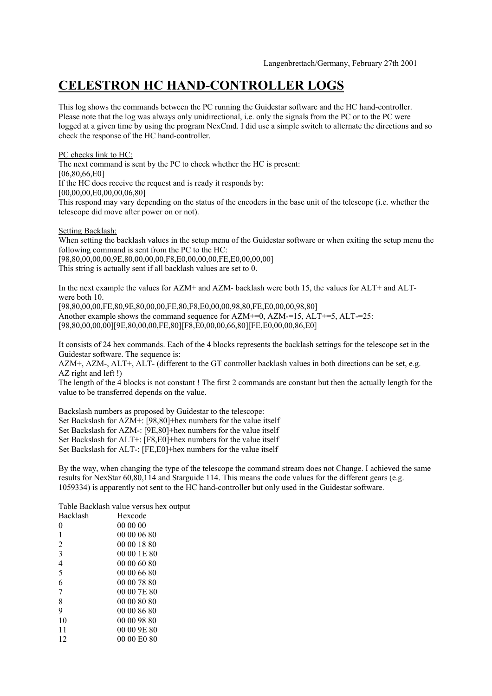## **CELESTRON HC HAND-CONTROLLER LOGS**

This log shows the commands between the PC running the Guidestar software and the HC hand-controller. Please note that the log was always only unidirectional, i.e. only the signals from the PC or to the PC were logged at a given time by using the program NexCmd. I did use a simple switch to alternate the directions and so check the response of the HC hand-controller.

PC checks link to HC:

The next command is sent by the PC to check whether the HC is present: [06,80,66,E0] If the HC does receive the request and is ready it responds by: [00,00,00,E0,00,00,06,80] This respond may vary depending on the status of the encoders in the base unit of the telescope (i.e. whether the telescope did move after power on or not).

Setting Backlash:

When setting the backlash values in the setup menu of the Guidestar software or when exiting the setup menu the following command is sent from the PC to the HC:

[98,80,00,00,00,9E,80,00,00,00,F8,E0,00,00,00,FE,E0,00,00,00] This string is actually sent if all backlash values are set to 0.

In the next example the values for AZM+ and AZM- backlash were both 15, the values for ALT+ and ALTwere both 10.

[98,80,00,00,FE,80,9E,80,00,00,FE,80,F8,E0,00,00,98,80,FE,E0,00,00,98,80] Another example shows the command sequence for  $AZM+=0$ ,  $AZM==15$ ,  $ALT==5$ ,  $ALT==25$ : [98,80,00,00,00][9E,80,00,00,FE,80][F8,E0,00,00,66,80][FE,E0,00,00,86,E0]

It consists of 24 hex commands. Each of the 4 blocks represents the backlash settings for the telescope set in the Guidestar software. The sequence is:

AZM+, AZM-, ALT+, ALT- (different to the GT controller backlash values in both directions can be set, e.g. AZ right and left !)

The length of the 4 blocks is not constant ! The first 2 commands are constant but then the actually length for the value to be transferred depends on the value.

Backslash numbers as proposed by Guidestar to the telescope: Set Backslash for AZM+: [98,80]+hex numbers for the value itself Set Backslash for AZM-: [9E,80]+hex numbers for the value itself Set Backslash for ALT+: [F8,E0]+hex numbers for the value itself Set Backslash for ALT-: [FE,E0]+hex numbers for the value itself

By the way, when changing the type of the telescope the command stream does not Change. I achieved the same results for NexStar 60,80,114 and Starguide 114. This means the code values for the different gears (e.g. 1059334) is apparently not sent to the HC hand-controller but only used in the Guidestar software.

Table Backlash value versus hex output

| Backlash       | Hexcode     |  |  |
|----------------|-------------|--|--|
| 0              | 00 00 00    |  |  |
| 1              | 00 00 06 80 |  |  |
| $\overline{c}$ | 00 00 18 80 |  |  |
| $\overline{3}$ | 00 00 1E 80 |  |  |
| $\overline{4}$ | 00 00 60 80 |  |  |
| 5              | 00 00 66 80 |  |  |
| 6              | 00 00 78 80 |  |  |
| 7              | 00 00 7E 80 |  |  |
| 8              | 00 00 80 80 |  |  |
| 9              | 00 00 86 80 |  |  |
| 10             | 00 00 98 80 |  |  |
| 11             | 00 00 9E 80 |  |  |
| 12             | 00 00 E0 80 |  |  |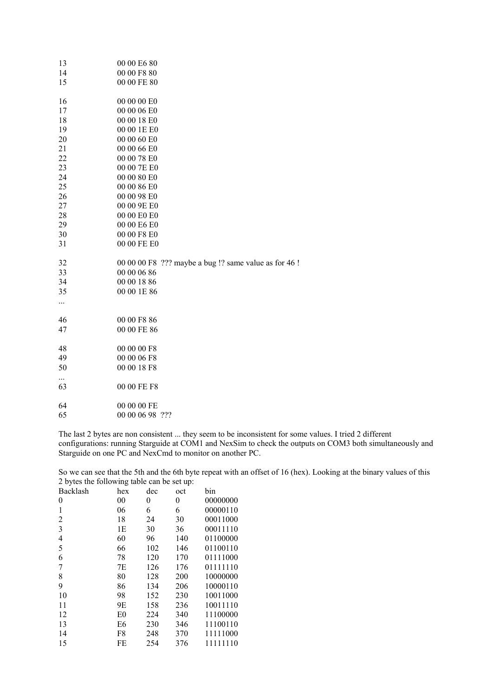| 13       | 00 00 E6 80                                           |
|----------|-------------------------------------------------------|
| 14       | 00 00 F8 80                                           |
| 15       | 00 00 FE 80                                           |
| 16       | 00 00 00 E0                                           |
| 17       | 00 00 06 E0                                           |
| 18       | 00 00 18 E0                                           |
| 19       | 00 00 1E E0                                           |
| 20       | 00 00 60 E0                                           |
| 21       | 00 00 66 E0                                           |
| 22       | 00 00 78 E0                                           |
| 23       | 00 00 7E E0                                           |
| 24       | 00 00 80 E0                                           |
| 25       | 00 00 86 E0                                           |
| 26       | 00 00 98 E0                                           |
| 27       | 00 00 9E E0                                           |
| 28       | 00 00 E0 E0                                           |
| 29       | 00 00 E6 E0                                           |
| 30       | 00 00 F8 E0                                           |
| 31       | 00 00 FE E0                                           |
| 32       | 00 00 00 F8 ??? maybe a bug !? same value as for 46 ! |
| 33       | 00 00 06 86                                           |
| 34       | 00 00 18 86                                           |
| 35       | 00 00 1E 86                                           |
| $\cdots$ |                                                       |
| 46       | 00 00 F8 86                                           |
| 47       | 00 00 FE 86                                           |
| 48       | 00 00 00 F8                                           |
| 49       | 00 00 06 F8                                           |
| 50       | 00 00 18 F8                                           |
| <br>63   | 00 00 FE F8                                           |
| 64       | 00 00 00 FE                                           |
| 65       | 00 00 06 98 ???                                       |
|          |                                                       |

The last 2 bytes are non consistent ... they seem to be inconsistent for some values. I tried 2 different configurations: running Starguide at COM1 and NexSim to check the outputs on COM3 both simultaneously and Starguide on one PC and NexCmd to monitor on another PC.

So we can see that the 5th and the 6th byte repeat with an offset of 16 (hex). Looking at the binary values of this 2 bytes the following table can be set up:

| Backlash       | hex            | dec | oct              | bin      |
|----------------|----------------|-----|------------------|----------|
| $\theta$       | 00             | 0   | $\boldsymbol{0}$ | 00000000 |
| 1              | 06             | 6   | 6                | 00000110 |
| $\overline{c}$ | 18             | 24  | 30               | 00011000 |
| 3              | 1E             | 30  | 36               | 00011110 |
| $\overline{4}$ | 60             | 96  | 140              | 01100000 |
| 5              | 66             | 102 | 146              | 01100110 |
| 6              | 78             | 120 | 170              | 01111000 |
| 7              | 7Ε             | 126 | 176              | 01111110 |
| 8              | 80             | 128 | 200              | 10000000 |
| 9              | 86             | 134 | 206              | 10000110 |
| 10             | 98             | 152 | 230              | 10011000 |
| 11             | 9E             | 158 | 236              | 10011110 |
| 12             | E <sub>0</sub> | 224 | 340              | 11100000 |
| 13             | E <sub>6</sub> | 230 | 346              | 11100110 |
| 14             | F8             | 248 | 370              | 11111000 |
| 15             | FE             | 254 | 376              | 11111110 |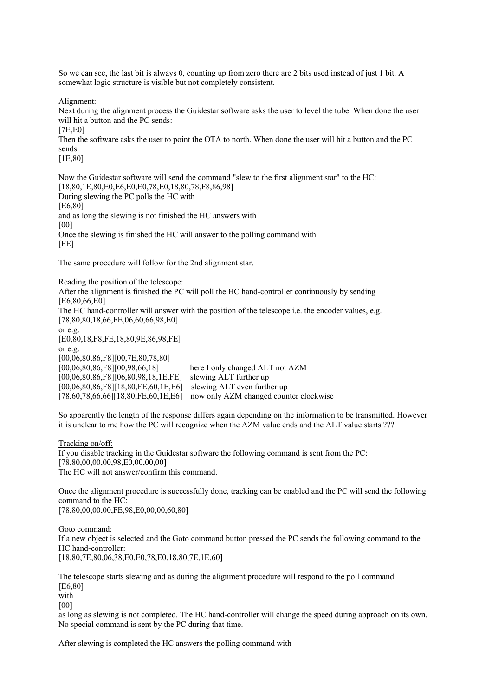So we can see, the last bit is always 0, counting up from zero there are 2 bits used instead of just 1 bit. A somewhat logic structure is visible but not completely consistent.

Alignment:

Next during the alignment process the Guidestar software asks the user to level the tube. When done the user will hit a button and the PC sends:

[7E,E0]

Then the software asks the user to point the OTA to north. When done the user will hit a button and the PC sends:

[1E,80]

Now the Guidestar software will send the command "slew to the first alignment star" to the HC: [18,80,1E,80,E0,E6,E0,E0,78,E0,18,80,78,F8,86,98] During slewing the PC polls the HC with [E6,80] and as long the slewing is not finished the HC answers with [00] Once the slewing is finished the HC will answer to the polling command with [FE]

The same procedure will follow for the 2nd alignment star.

Reading the position of the telescope:

After the alignment is finished the PC will poll the HC hand-controller continuously by sending [E6,80,66,E0] The HC hand-controller will answer with the position of the telescope i.e. the encoder values, e.g. [78,80,80,18,66,FE,06,60,66,98,E0] or e.g. [E0,80,18,F8,FE,18,80,9E,86,98,FE] or e.g. [00,06,80,86,F8][00,7E,80,78,80] [00,06,80,86,F8][00,98,66,18] here I only changed ALT not AZM [00,06,80,86,F8][06,80,98,18,1E,FE] slewing ALT further up [00,06,80,86,F8][18,80,FE,60,1E,E6] slewing ALT even further up [78,60,78,66,66][18,80,FE,60,1E,E6] now only AZM changed counter clockwise

So apparently the length of the response differs again depending on the information to be transmitted. However it is unclear to me how the PC will recognize when the AZM value ends and the ALT value starts ???

Tracking on/off: If you disable tracking in the Guidestar software the following command is sent from the PC: [78,80,00,00,00,98,E0,00,00,00] The HC will not answer/confirm this command.

Once the alignment procedure is successfully done, tracking can be enabled and the PC will send the following command to the HC:

[78,80,00,00,00,FE,98,E0,00,00,60,80]

Goto command:

If a new object is selected and the Goto command button pressed the PC sends the following command to the HC hand-controller:

[18,80,7E,80,06,38,E0,E0,78,E0,18,80,7E,1E,60]

The telescope starts slewing and as during the alignment procedure will respond to the poll command [E6,80]

with

[00]

as long as slewing is not completed. The HC hand-controller will change the speed during approach on its own. No special command is sent by the PC during that time.

After slewing is completed the HC answers the polling command with